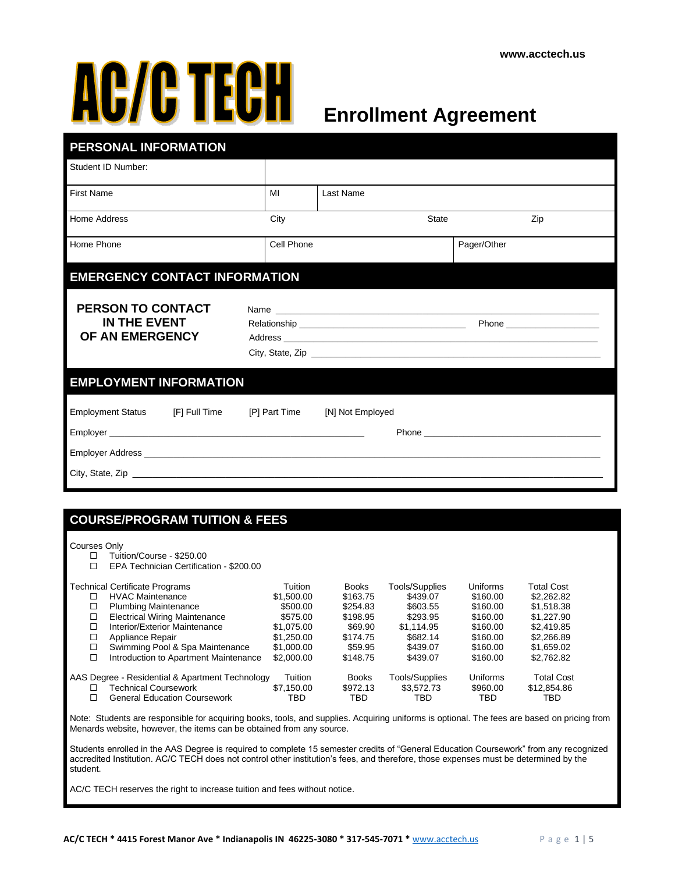# **AC/C TECH**

# **Enrollment Agreement**

| PERSONAL INFORMATION                                           |            |              |             |  |  |
|----------------------------------------------------------------|------------|--------------|-------------|--|--|
| Student ID Number:                                             |            |              |             |  |  |
| <b>First Name</b>                                              | MI         | Last Name    |             |  |  |
| Home Address                                                   | City       | <b>State</b> | Zip         |  |  |
| Home Phone                                                     | Cell Phone |              | Pager/Other |  |  |
| <b>EMERGENCY CONTACT INFORMATION</b>                           |            |              |             |  |  |
| PERSON TO CONTACT<br><b>IN THE EVENT</b><br>OF AN EMERGENCY    |            |              |             |  |  |
| <b>EMPLOYMENT INFORMATION</b>                                  |            |              |             |  |  |
| Employment Status [F] Full Time [P] Part Time [N] Not Employed |            |              |             |  |  |

#### **COURSE/PROGRAM TUITION & FEES**

#### Courses Only

| Tuition/Course - \$250.00<br>□ |
|--------------------------------|
|                                |

EPA Technician Certification - \$200.00

|   | Technical Certificate Programs                  | Tuition        | <b>Books</b> | <b>Tools/Supplies</b> | <b>Uniforms</b> | Total Cost        |
|---|-------------------------------------------------|----------------|--------------|-----------------------|-----------------|-------------------|
|   | <b>HVAC Maintenance</b>                         | \$1,500.00     | \$163.75     | \$439.07              | \$160.00        | \$2,262.82        |
| □ | <b>Plumbing Maintenance</b>                     | \$500.00       | \$254.83     | \$603.55              | \$160.00        | \$1,518.38        |
| □ | <b>Electrical Wiring Maintenance</b>            | \$575.00       | \$198.95     | \$293.95              | \$160.00        | \$1,227.90        |
| □ | Interior/Exterior Maintenance                   | \$1,075,00     | \$69.90      | \$1.114.95            | \$160.00        | \$2,419.85        |
| □ | Appliance Repair                                | \$1.250.00     | \$174.75     | \$682.14              | \$160.00        | \$2,266.89        |
| □ | Swimming Pool & Spa Maintenance                 | \$1,000.00     | \$59.95      | \$439.07              | \$160.00        | \$1,659.02        |
| □ | Introduction to Apartment Maintenance           | \$2,000.00     | \$148.75     | \$439.07              | \$160.00        | \$2,762.82        |
|   | AAS Degree - Residential & Apartment Technology | <b>Tuition</b> | <b>Books</b> | Tools/Supplies        | Uniforms        | <b>Total Cost</b> |
|   | Technical Coursework                            | \$7,150,00     | \$972.13     | \$3.572.73            | \$960.00        | \$12,854.86       |
|   | <b>General Education Coursework</b>             | TBD            | TRD          | TBD                   | TBD             | TRD               |

Note: Students are responsible for acquiring books, tools, and supplies. Acquiring uniforms is optional. The fees are based on pricing from Menards website, however, the items can be obtained from any source.

Students enrolled in the AAS Degree is required to complete 15 semester credits of "General Education Coursework" from any recognized accredited Institution. AC/C TECH does not control other institution's fees, and therefore, those expenses must be determined by the student.

AC/C TECH reserves the right to increase tuition and fees without notice.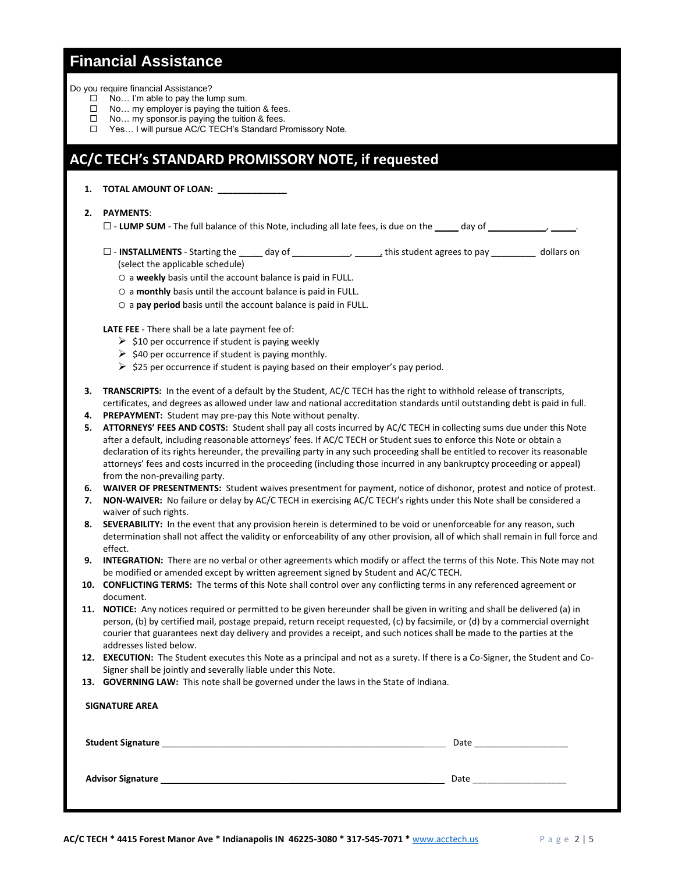#### **Financial Assistance**

Do you require financial Assistance?

- $\square$  No... I'm able to pay the lump sum.<br> $\square$  No... my emblover is paving the tuit
- No… my employer is paying the tuition & fees.
- $\Box$  No... my sponsor. is paying the tuition & fees.
- □ Yes... I will pursue AC/C TECH's Standard Promissory Note.

#### **AC/C TECH's STANDARD PROMISSORY NOTE, if requested**

#### **1. TOTAL AMOUNT OF LOAN: \_\_\_\_\_\_\_\_\_\_\_\_\_\_**

#### **2. PAYMENTS**:

 $\Box$  - **LUMP SUM** - The full balance of this Note, including all late fees, is due on the  $\Box$  day of

- $\square$  **INSTALLMENTS** Starting the \_\_\_\_\_ day of \_\_\_\_\_\_\_\_\_\_\_, \_\_\_\_\_\_<sub>t</sub> this student agrees to pay \_\_\_\_\_\_\_\_\_\_ dollars on (select the applicable schedule)
	- o a **weekly** basis until the account balance is paid in FULL.
	- o a **monthly** basis until the account balance is paid in FULL.
	- o a **pay period** basis until the account balance is paid in FULL.

**LATE FEE** - There shall be a late payment fee of:

- $\triangleright$  \$10 per occurrence if student is paying weekly
- $\triangleright$  \$40 per occurrence if student is paying monthly.
- $\triangleright$  \$25 per occurrence if student is paying based on their employer's pay period.
- **3. TRANSCRIPTS:** In the event of a default by the Student, AC/C TECH has the right to withhold release of transcripts, certificates, and degrees as allowed under law and national accreditation standards until outstanding debt is paid in full.
- **4. PREPAYMENT:** Student may pre-pay this Note without penalty.
- **5. ATTORNEYS' FEES AND COSTS:** Student shall pay all costs incurred by AC/C TECH in collecting sums due under this Note after a default, including reasonable attorneys' fees. If AC/C TECH or Student sues to enforce this Note or obtain a declaration of its rights hereunder, the prevailing party in any such proceeding shall be entitled to recover its reasonable attorneys' fees and costs incurred in the proceeding (including those incurred in any bankruptcy proceeding or appeal) from the non-prevailing party.
- **6. WAIVER OF PRESENTMENTS:** Student waives presentment for payment, notice of dishonor, protest and notice of protest.
- **7. NON-WAIVER:** No failure or delay by AC/C TECH in exercising AC/C TECH's rights under this Note shall be considered a waiver of such rights.
- **8. SEVERABILITY:** In the event that any provision herein is determined to be void or unenforceable for any reason, such determination shall not affect the validity or enforceability of any other provision, all of which shall remain in full force and effect.
- **9. INTEGRATION:** There are no verbal or other agreements which modify or affect the terms of this Note. This Note may not be modified or amended except by written agreement signed by Student and AC/C TECH.
- **10. CONFLICTING TERMS:** The terms of this Note shall control over any conflicting terms in any referenced agreement or document.
- **11. NOTICE:** Any notices required or permitted to be given hereunder shall be given in writing and shall be delivered (a) in person, (b) by certified mail, postage prepaid, return receipt requested, (c) by facsimile, or (d) by a commercial overnight courier that guarantees next day delivery and provides a receipt, and such notices shall be made to the parties at the addresses listed below.
- **12. EXECUTION:** The Student executes this Note as a principal and not as a surety. If there is a Co-Signer, the Student and Co-Signer shall be jointly and severally liable under this Note.
- **13. GOVERNING LAW:** This note shall be governed under the laws in the State of Indiana.

| <b>SIGNATURE AREA</b>    |                                                                                                                                                                             |
|--------------------------|-----------------------------------------------------------------------------------------------------------------------------------------------------------------------------|
| <b>Student Signature</b> | Date and the state of the state of the state of the state of the state of the state of the state of the state<br><u> 1989 - John Stein, Amerikaansk politiker (</u> † 1920) |
| <b>Advisor Signature</b> | Date                                                                                                                                                                        |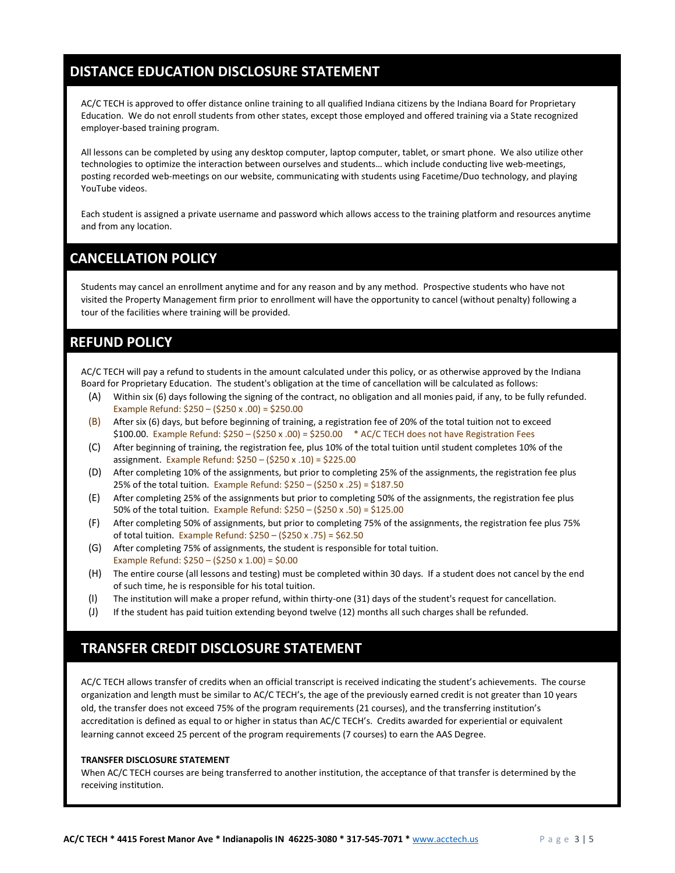## **DISTANCE EDUCATION DISCLOSURE STATEMENT**

AC/C TECH is approved to offer distance online training to all qualified Indiana citizens by the Indiana Board for Proprietary Education. We do not enroll students from other states, except those employed and offered training via a State recognized employer-based training program.

All lessons can be completed by using any desktop computer, laptop computer, tablet, or smart phone. We also utilize other technologies to optimize the interaction between ourselves and students… which include conducting live web-meetings, posting recorded web-meetings on our website, communicating with students using Facetime/Duo technology, and playing YouTube videos.

Each student is assigned a private username and password which allows access to the training platform and resources anytime and from any location.

#### **CANCELLATION POLICY**

Students may cancel an enrollment anytime and for any reason and by any method. Prospective students who have not visited the Property Management firm prior to enrollment will have the opportunity to cancel (without penalty) following a tour of the facilities where training will be provided.

#### **REFUND POLICY**

AC/C TECH will pay a refund to students in the amount calculated under this policy, or as otherwise approved by the Indiana Board for Proprietary Education. The student's obligation at the time of cancellation will be calculated as follows:

- (A) Within six (6) days following the signing of the contract, no obligation and all monies paid, if any, to be fully refunded. Example Refund: \$250 – (\$250 x .00) = \$250.00
- $(B)$  After six (6) days, but before beginning of training, a registration fee of 20% of the total tuition not to exceed \$100.00. Example Refund: \$250 – (\$250 x .00) = \$250.00 \* AC/C TECH does not have Registration Fees
- (C) After beginning of training, the registration fee, plus 10% of the total tuition until student completes 10% of the assignment. Example Refund: \$250 – (\$250 x .10) = \$225.00
- (D) After completing 10% of the assignments, but prior to completing 25% of the assignments, the registration fee plus 25% of the total tuition. Example Refund: \$250 – (\$250 x .25) = \$187.50
- (E) After completing 25% of the assignments but prior to completing 50% of the assignments, the registration fee plus 50% of the total tuition. Example Refund: \$250 – (\$250 x .50) = \$125.00
- (F) After completing 50% of assignments, but prior to completing 75% of the assignments, the registration fee plus 75% of total tuition. Example Refund: \$250 – (\$250 x .75) = \$62.50
- (G) After completing 75% of assignments, the student is responsible for total tuition. Example Refund:  $$250 - ($250 x 1.00) = $0.00$
- (H) The entire course (all lessons and testing) must be completed within 30 days. If a student does not cancel by the end of such time, he is responsible for his total tuition.
- (I) The institution will make a proper refund, within thirty-one (31) days of the student's request for cancellation.
- (J) If the student has paid tuition extending beyond twelve (12) months all such charges shall be refunded.

#### **TRANSFER CREDIT DISCLOSURE STATEMENT**

AC/C TECH allows transfer of credits when an official transcript is received indicating the student's achievements. The course organization and length must be similar to AC/C TECH's, the age of the previously earned credit is not greater than 10 years old, the transfer does not exceed 75% of the program requirements (21 courses), and the transferring institution's accreditation is defined as equal to or higher in status than AC/C TECH's. Credits awarded for experiential or equivalent learning cannot exceed 25 percent of the program requirements (7 courses) to earn the AAS Degree.

#### **TRANSFER DISCLOSURE STATEMENT**

When AC/C TECH courses are being transferred to another institution, the acceptance of that transfer is determined by the receiving institution.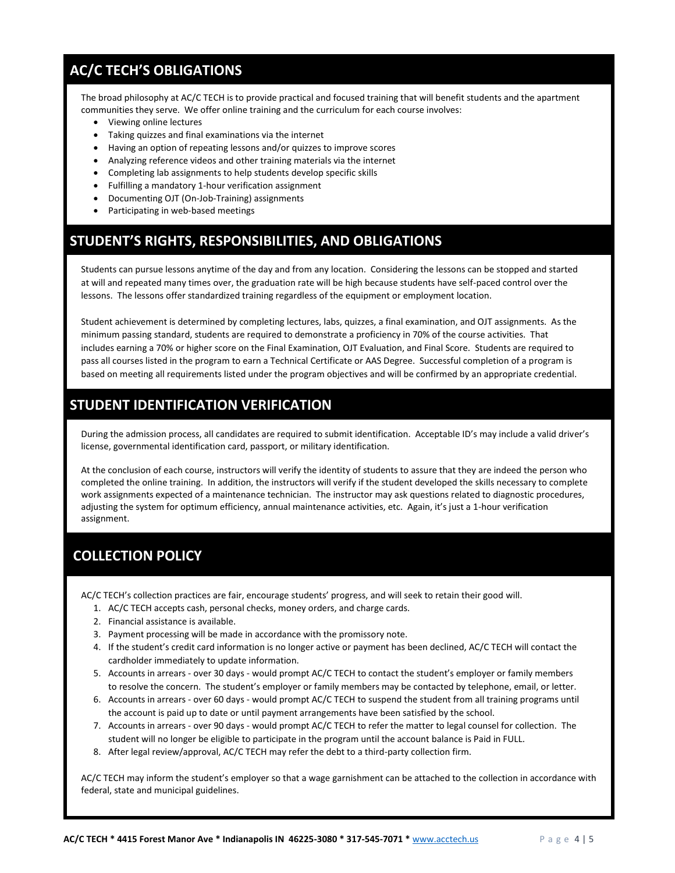## **AC/C TECH'S OBLIGATIONS**

The broad philosophy at AC/C TECH is to provide practical and focused training that will benefit students and the apartment communities they serve. We offer online training and the curriculum for each course involves:

- Viewing online lectures
- Taking quizzes and final examinations via the internet
- Having an option of repeating lessons and/or quizzes to improve scores
- Analyzing reference videos and other training materials via the internet
- Completing lab assignments to help students develop specific skills
- Fulfilling a mandatory 1-hour verification assignment
- Documenting OJT (On-Job-Training) assignments
- Participating in web-based meetings

#### **STUDENT'S RIGHTS, RESPONSIBILITIES, AND OBLIGATIONS**

Students can pursue lessons anytime of the day and from any location. Considering the lessons can be stopped and started at will and repeated many times over, the graduation rate will be high because students have self-paced control over the lessons. The lessons offer standardized training regardless of the equipment or employment location.

Student achievement is determined by completing lectures, labs, quizzes, a final examination, and OJT assignments. As the minimum passing standard, students are required to demonstrate a proficiency in 70% of the course activities. That includes earning a 70% or higher score on the Final Examination, OJT Evaluation, and Final Score. Students are required to pass all courses listed in the program to earn a Technical Certificate or AAS Degree. Successful completion of a program is based on meeting all requirements listed under the program objectives and will be confirmed by an appropriate credential.

### **STUDENT IDENTIFICATION VERIFICATION**

During the admission process, all candidates are required to submit identification. Acceptable ID's may include a valid driver's license, governmental identification card, passport, or military identification.

At the conclusion of each course, instructors will verify the identity of students to assure that they are indeed the person who completed the online training. In addition, the instructors will verify if the student developed the skills necessary to complete work assignments expected of a maintenance technician. The instructor may ask questions related to diagnostic procedures, adjusting the system for optimum efficiency, annual maintenance activities, etc. Again, it's just a 1-hour verification assignment.

### **COLLECTION POLICY**

AC/C TECH's collection practices are fair, encourage students' progress, and will seek to retain their good will.

- 1. AC/C TECH accepts cash, personal checks, money orders, and charge cards.
- 2. Financial assistance is available.
- 3. Payment processing will be made in accordance with the promissory note.
- 4. If the student's credit card information is no longer active or payment has been declined, AC/C TECH will contact the cardholder immediately to update information.
- 5. Accounts in arrears over 30 days would prompt AC/C TECH to contact the student's employer or family members to resolve the concern. The student's employer or family members may be contacted by telephone, email, or letter.
- 6. Accounts in arrears over 60 days would prompt AC/C TECH to suspend the student from all training programs until the account is paid up to date or until payment arrangements have been satisfied by the school.
- 7. Accounts in arrears over 90 days would prompt AC/C TECH to refer the matter to legal counsel for collection. The student will no longer be eligible to participate in the program until the account balance is Paid in FULL.
- 8. After legal review/approval, AC/C TECH may refer the debt to a third-party collection firm.

AC/C TECH may inform the student's employer so that a wage garnishment can be attached to the collection in accordance with federal, state and municipal guidelines.